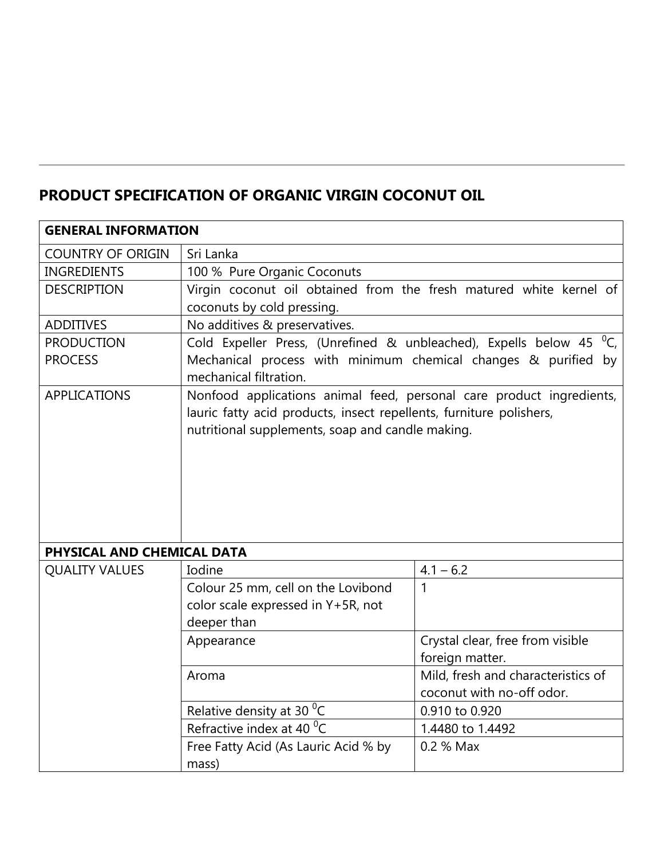## **PRODUCT SPECIFICATION OF ORGANIC VIRGIN COCONUT OIL**

| <b>GENERAL INFORMATION</b> |                                                                                                                                                                                                 |                                    |  |  |  |  |  |  |
|----------------------------|-------------------------------------------------------------------------------------------------------------------------------------------------------------------------------------------------|------------------------------------|--|--|--|--|--|--|
| <b>COUNTRY OF ORIGIN</b>   | Sri Lanka                                                                                                                                                                                       |                                    |  |  |  |  |  |  |
| <b>INGREDIENTS</b>         | 100 % Pure Organic Coconuts                                                                                                                                                                     |                                    |  |  |  |  |  |  |
| <b>DESCRIPTION</b>         | Virgin coconut oil obtained from the fresh matured white kernel of                                                                                                                              |                                    |  |  |  |  |  |  |
|                            | coconuts by cold pressing.                                                                                                                                                                      |                                    |  |  |  |  |  |  |
| <b>ADDITIVES</b>           | No additives & preservatives.                                                                                                                                                                   |                                    |  |  |  |  |  |  |
| <b>PRODUCTION</b>          | Cold Expeller Press, (Unrefined & unbleached), Expells below 45 <sup>o</sup> C,                                                                                                                 |                                    |  |  |  |  |  |  |
| <b>PROCESS</b>             | Mechanical process with minimum chemical changes & purified by<br>mechanical filtration.                                                                                                        |                                    |  |  |  |  |  |  |
| <b>APPLICATIONS</b>        | Nonfood applications animal feed, personal care product ingredients,<br>lauric fatty acid products, insect repellents, furniture polishers,<br>nutritional supplements, soap and candle making. |                                    |  |  |  |  |  |  |
| PHYSICAL AND CHEMICAL DATA |                                                                                                                                                                                                 |                                    |  |  |  |  |  |  |
| <b>QUALITY VALUES</b>      | Iodine                                                                                                                                                                                          | $4.1 - 6.2$                        |  |  |  |  |  |  |
|                            | Colour 25 mm, cell on the Lovibond                                                                                                                                                              | 1                                  |  |  |  |  |  |  |
|                            | color scale expressed in Y+5R, not                                                                                                                                                              |                                    |  |  |  |  |  |  |
|                            | deeper than                                                                                                                                                                                     |                                    |  |  |  |  |  |  |
|                            | Appearance                                                                                                                                                                                      | Crystal clear, free from visible   |  |  |  |  |  |  |
|                            |                                                                                                                                                                                                 | foreign matter.                    |  |  |  |  |  |  |
|                            | Aroma                                                                                                                                                                                           | Mild, fresh and characteristics of |  |  |  |  |  |  |
|                            |                                                                                                                                                                                                 | coconut with no-off odor.          |  |  |  |  |  |  |
|                            | Relative density at 30 <sup>o</sup> C                                                                                                                                                           | 0.910 to 0.920                     |  |  |  |  |  |  |
|                            | Refractive index at 40 $\mathrm{^{0}C}$                                                                                                                                                         | 1.4480 to 1.4492                   |  |  |  |  |  |  |
|                            | Free Fatty Acid (As Lauric Acid % by                                                                                                                                                            | 0.2 % Max                          |  |  |  |  |  |  |
|                            | mass)                                                                                                                                                                                           |                                    |  |  |  |  |  |  |